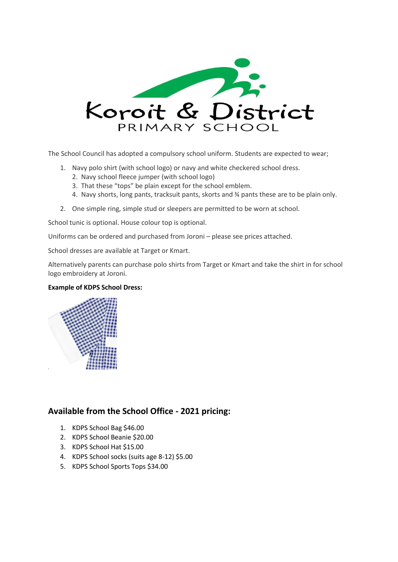

The School Council has adopted a compulsory school uniform. Students are expected to wear;

- 1. Navy polo shirt (with school logo) or navy and white checkered school dress.
	- 2. Navy school fleece jumper (with school logo)
	- 3. That these "tops" be plain except for the school emblem.
	- 4. Navy shorts, long pants, tracksuit pants, skorts and ¾ pants these are to be plain only.
- 2. One simple ring, simple stud or sleepers are permitted to be worn at school.

School tunic is optional. House colour top is optional.

Uniforms can be ordered and purchased from Joroni – please see prices attached.

School dresses are available at Target or Kmart.

Alternatively parents can purchase polo shirts from Target or Kmart and take the shirt in for school logo embroidery at Joroni.

## **Example of KDPS School Dress:**



## **Available from the School Office - 2021 pricing:**

- 1. KDPS School Bag \$46.00
- 2. KDPS School Beanie \$20.00
- 3. KDPS School Hat \$15.00
- 4. KDPS School socks (suits age 8-12) \$5.00
- 5. KDPS School Sports Tops \$34.00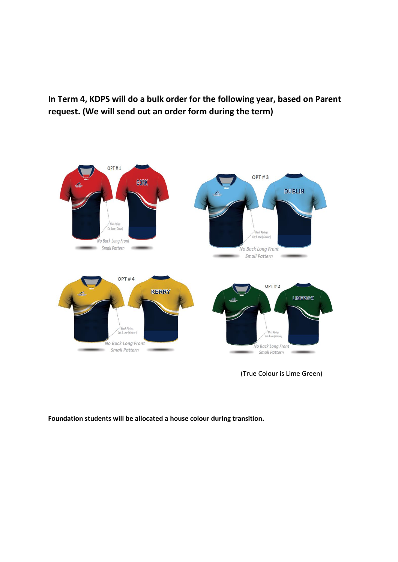**In Term 4, KDPS will do a bulk order for the following year, based on Parent request. (We will send out an order form during the term)**



(True Colour is Lime Green)

**Foundation students will be allocated a house colour during transition.**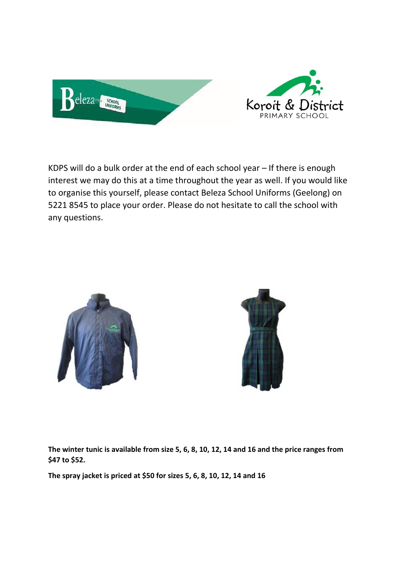

KDPS will do a bulk order at the end of each school year – If there is enough interest we may do this at a time throughout the year as well. If you would like to organise this yourself, please contact Beleza School Uniforms (Geelong) on 5221 8545 to place your order. Please do not hesitate to call the school with any questions.





**The winter tunic is available from size 5, 6, 8, 10, 12, 14 and 16 and the price ranges from \$47 to \$52.**

**The spray jacket is priced at \$50 for sizes 5, 6, 8, 10, 12, 14 and 16**